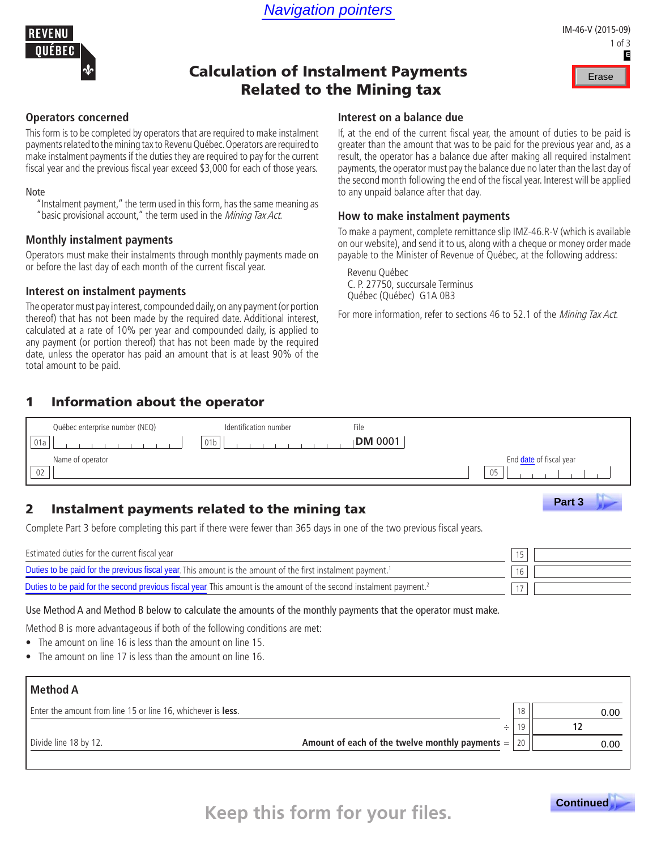

### IM-46-V (2015-09) 1 of 3 **E**

# Calculation of Instalment Payments Related to the Mining tax



#### **Operators concerned**

This form is to be completed by operators that are required to make instalment payments related to the mining tax to Revenu Québec. Operators are required to make instalment payments if the duties they are required to pay for the current fiscal year and the previous fiscal year exceed \$3,000 for each of those years.

#### Note

"Instalment payment," the term used in this form, has the same meaning as "basic provisional account," the term used in the Mining Tax Act.

#### **Monthly instalment payments**

Operators must make their instalments through monthly payments made on or before the last day of each month of the current fiscal year.

#### **Interest on instalment payments**

The operator must pay interest, compounded daily, on any payment (or portion thereof) that has not been made by the required date. Additional interest, calculated at a rate of 10% per year and compounded daily, is applied to any payment (or portion thereof) that has not been made by the required date, unless the operator has paid an amount that is at least 90% of the total amount to be paid.

#### **Interest on a balance due**

If, at the end of the current fiscal year, the amount of duties to be paid is greater than the amount that was to be paid for the previous year and, as a result, the operator has a balance due after making all required instalment payments, the operator must pay the balance due no later than the last day of the second month following the end of the fiscal year. Interest will be applied to any unpaid balance after that day.

#### **How to make instalment payments**

To make a payment, complete remittance slip IMZ-46.R-V (which is available on our website), and send it to us, along with a cheque or money order made payable to the Minister of Revenue of Québec, at the following address:

Revenu Québec C. P. 27750, succursale Terminus Québec (Québec) G1A 0B3

For more information, refer to sections 46 to 52.1 of the *Mining Tax Act*.

### 1 Information about the operator

| Québec enterprise number (NEQ) | Identification number | File           |                                |
|--------------------------------|-----------------------|----------------|--------------------------------|
|                                | 01 <sub>b</sub>       | <b>DM</b> 0001 |                                |
| Name of operator               |                       |                | End <i>date</i> of fiscal year |
| 02                             |                       |                | 05                             |

## 2 Instalment payments related to the mining tax

| Name of operator<br>02                                                                                                                                                                  | 05 | End date of fiscal year |
|-----------------------------------------------------------------------------------------------------------------------------------------------------------------------------------------|----|-------------------------|
| Instalment payments related to the mining tax<br>$\mathbf{2}$<br>Complete Part 3 before completing this part if there were fewer than 365 days in one of the two previous fiscal years. |    | Part 3                  |
| Estimated duties for the current fiscal year                                                                                                                                            |    |                         |
| Duties to be paid for the previous fiscal year. This amount is the amount of the first instalment payment. <sup>1</sup>                                                                 | 16 |                         |
| Duties to be paid for the second previous fiscal year. This amount is the amount of the second instalment payment. <sup>2</sup>                                                         |    |                         |

Use Method A and Method B below to calculate the amounts of the monthly payments that the operator must make.

Method B is more advantageous if both of the following conditions are met:

- The amount on line 16 is less than the amount on line 15.
- The amount on line 17 is less than the amount on line 16.

| <b>Method A</b>                                                            |       |      |
|----------------------------------------------------------------------------|-------|------|
| Enter the amount from line 15 or line 16, whichever is less.               | 18    | 0.00 |
| ÷                                                                          |       |      |
| Amount of each of the twelve monthly payments $=$<br>Divide line 18 by 12. | 20 II | 0.00 |
|                                                                            |       |      |



**Keep this form for your files.**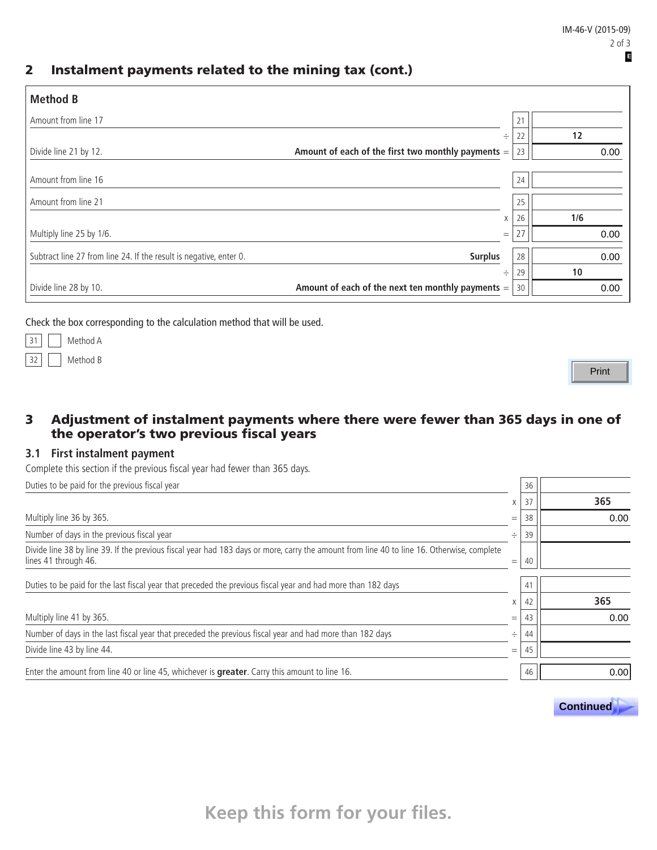## 2 Instalment payments related to the mining tax (cont.)

| <b>Method B</b>                                                                      |     |    |      |
|--------------------------------------------------------------------------------------|-----|----|------|
| Amount from line 17                                                                  |     | 21 |      |
|                                                                                      | ÷   | 22 | 12   |
| Amount of each of the first two monthly payments $=$<br>Divide line 21 by 12.        |     | 23 | 0.00 |
|                                                                                      |     |    |      |
| Amount from line 16                                                                  |     | 24 |      |
| Amount from line 21                                                                  |     | 25 |      |
|                                                                                      | X   | 26 | 1/6  |
| Multiply line 25 by 1/6.                                                             | $=$ | 27 | 0.00 |
| Subtract line 27 from line 24. If the result is negative, enter 0.<br><b>Surplus</b> |     | 28 | 0.00 |
|                                                                                      | ÷   | 29 | 10   |
| Amount of each of the next ten monthly payments $=$<br>Divide line 28 by 10.         |     | 30 | 0.00 |

Check the box corresponding to the calculation method that will be used.

|  | Method A |
|--|----------|
|  | Method B |

Print

### 3 Adjustment of instalment payments where there were fewer than 365 days in one of the operator's two previous fiscal years

#### **3.1 First instalment payment**

Complete this section if the previous fiscal year had fewer than 365 days.

| Duties to be paid for the previous fiscal year                                                                                                                     |     | 36 |      |
|--------------------------------------------------------------------------------------------------------------------------------------------------------------------|-----|----|------|
|                                                                                                                                                                    | X   | 37 | 365  |
| Multiply line 36 by 365.                                                                                                                                           | $=$ | 38 | 0.00 |
| Number of days in the previous fiscal year                                                                                                                         | ÷   | 39 |      |
| Divide line 38 by line 39. If the previous fiscal year had 183 days or more, carry the amount from line 40 to line 16. Otherwise, complete<br>lines 41 through 46. | $=$ | 40 |      |
| Duties to be paid for the last fiscal year that preceded the previous fiscal year and had more than 182 days                                                       |     | 41 |      |
|                                                                                                                                                                    | X   | 42 | 365  |
| Multiply line 41 by 365.                                                                                                                                           | $=$ | 43 | 0.00 |
| Number of days in the last fiscal year that preceded the previous fiscal year and had more than 182 days                                                           | ÷   | 44 |      |
| Divide line 43 by line 44.                                                                                                                                         | $=$ | 45 |      |
| Enter the amount from line 40 or line 45, whichever is <b>greater</b> . Carry this amount to line 16.                                                              |     | 46 | 0.00 |



**Keep this form for your files.**